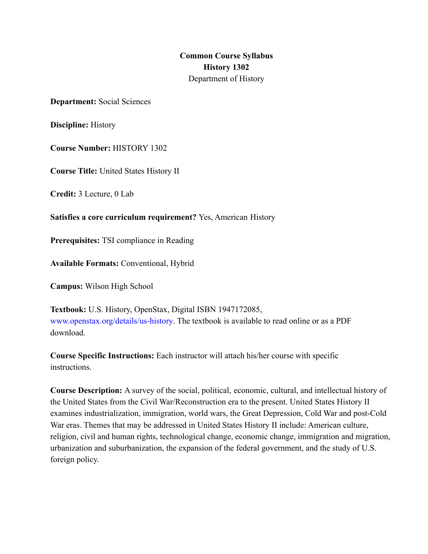**Common Course Syllabus History 1302** Department of History

**Department:** Social Sciences

**Discipline:** History

**Course Number:** HISTORY 1302

**Course Title:** United States History II

**Credit:** 3 Lecture, 0 Lab

**Satisfies a core curriculum requirement?** Yes, American History

**Prerequisites:** TSI compliance in Reading

**Available Formats:** Conventional, Hybrid

**Campus:** Wilson High School

**Textbook:** U.S. History, OpenStax, Digital ISBN 1947172085, www.openstax.org/details/us-history. The textbook is available to read online or as a PDF download.

**Course Specific Instructions:** Each instructor will attach his/her course with specific instructions.

**Course Description:** A survey of the social, political, economic, cultural, and intellectual history of the United States from the Civil War/Reconstruction era to the present. United States History II examines industrialization, immigration, world wars, the Great Depression, Cold War and post-Cold War eras. Themes that may be addressed in United States History II include: American culture, religion, civil and human rights, technological change, economic change, immigration and migration, urbanization and suburbanization, the expansion of the federal government, and the study of U.S. foreign policy.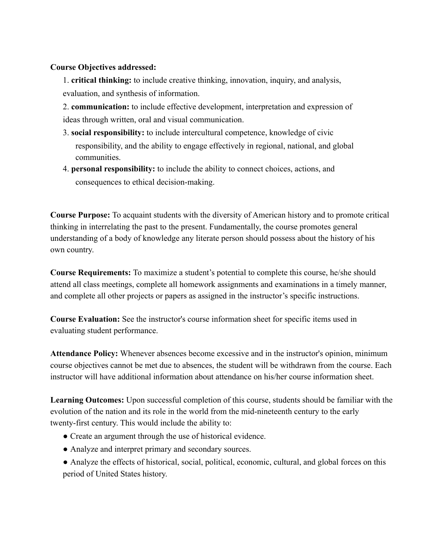#### **Course Objectives addressed:**

1. **critical thinking:** to include creative thinking, innovation, inquiry, and analysis, evaluation, and synthesis of information.

2. **communication:** to include effective development, interpretation and expression of ideas through written, oral and visual communication.

- 3. **social responsibility:** to include intercultural competence, knowledge of civic responsibility, and the ability to engage effectively in regional, national, and global communities.
- 4. **personal responsibility:** to include the ability to connect choices, actions, and consequences to ethical decision-making.

**Course Purpose:** To acquaint students with the diversity of American history and to promote critical thinking in interrelating the past to the present. Fundamentally, the course promotes general understanding of a body of knowledge any literate person should possess about the history of his own country.

**Course Requirements:** To maximize a student's potential to complete this course, he/she should attend all class meetings, complete all homework assignments and examinations in a timely manner, and complete all other projects or papers as assigned in the instructor's specific instructions.

**Course Evaluation:** See the instructor's course information sheet for specific items used in evaluating student performance.

**Attendance Policy:** Whenever absences become excessive and in the instructor's opinion, minimum course objectives cannot be met due to absences, the student will be withdrawn from the course. Each instructor will have additional information about attendance on his/her course information sheet.

**Learning Outcomes:** Upon successful completion of this course, students should be familiar with the evolution of the nation and its role in the world from the mid-nineteenth century to the early twenty-first century. This would include the ability to:

- Create an argument through the use of historical evidence.
- Analyze and interpret primary and secondary sources.
- Analyze the effects of historical, social, political, economic, cultural, and global forces on this period of United States history.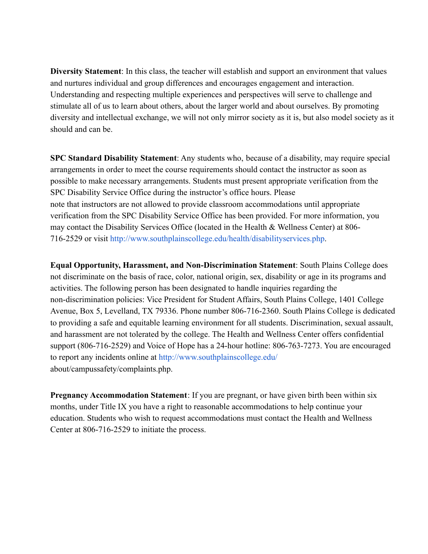**Diversity Statement**: In this class, the teacher will establish and support an environment that values and nurtures individual and group differences and encourages engagement and interaction. Understanding and respecting multiple experiences and perspectives will serve to challenge and stimulate all of us to learn about others, about the larger world and about ourselves. By promoting diversity and intellectual exchange, we will not only mirror society as it is, but also model society as it should and can be.

**SPC Standard Disability Statement**: Any students who, because of a disability, may require special arrangements in order to meet the course requirements should contact the instructor as soon as possible to make necessary arrangements. Students must present appropriate verification from the SPC Disability Service Office during the instructor's office hours. Please note that instructors are not allowed to provide classroom accommodations until appropriate verification from the SPC Disability Service Office has been provided. For more information, you may contact the Disability Services Office (located in the Health & Wellness Center) at 806- 716-2529 or visit http://www.southplainscollege.edu/health/disabilityservices.php.

**Equal Opportunity, Harassment, and Non-Discrimination Statement**: South Plains College does not discriminate on the basis of race, color, national origin, sex, disability or age in its programs and activities. The following person has been designated to handle inquiries regarding the non-discrimination policies: Vice President for Student Affairs, South Plains College, 1401 College Avenue, Box 5, Levelland, TX 79336. Phone number 806-716-2360. South Plains College is dedicated to providing a safe and equitable learning environment for all students. Discrimination, sexual assault, and harassment are not tolerated by the college. The Health and Wellness Center offers confidential support (806-716-2529) and Voice of Hope has a 24-hour hotline: 806-763-7273. You are encouraged to report any incidents online at http://www.southplainscollege.edu/ about/campussafety/complaints.php.

**Pregnancy Accommodation Statement**: If you are pregnant, or have given birth been within six months, under Title IX you have a right to reasonable accommodations to help continue your education. Students who wish to request accommodations must contact the Health and Wellness Center at 806-716-2529 to initiate the process.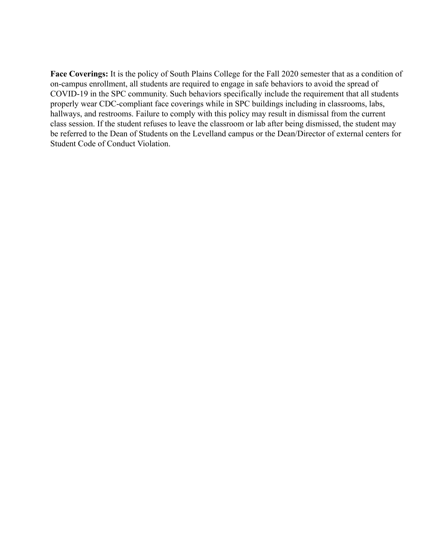**Face Coverings:** It is the policy of South Plains College for the Fall 2020 semester that as a condition of on-campus enrollment, all students are required to engage in safe behaviors to avoid the spread of COVID-19 in the SPC community. Such behaviors specifically include the requirement that all students properly wear CDC-compliant face coverings while in SPC buildings including in classrooms, labs, hallways, and restrooms. Failure to comply with this policy may result in dismissal from the current class session. If the student refuses to leave the classroom or lab after being dismissed, the student may be referred to the Dean of Students on the Levelland campus or the Dean/Director of external centers for Student Code of Conduct Violation.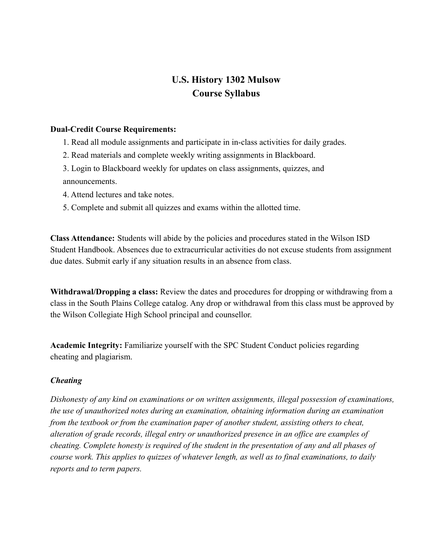## **U.S. History 1302 Mulsow Course Syllabus**

#### **Dual-Credit Course Requirements:**

- 1. Read all module assignments and participate in in-class activities for daily grades.
- 2. Read materials and complete weekly writing assignments in Blackboard.
- 3. Login to Blackboard weekly for updates on class assignments, quizzes, and announcements.
- 4. Attend lectures and take notes.
- 5. Complete and submit all quizzes and exams within the allotted time.

**Class Attendance:** Students will abide by the policies and procedures stated in the Wilson ISD Student Handbook. Absences due to extracurricular activities do not excuse students from assignment due dates. Submit early if any situation results in an absence from class.

**Withdrawal/Dropping a class:** Review the dates and procedures for dropping or withdrawing from a class in the South Plains College catalog. Any drop or withdrawal from this class must be approved by the Wilson Collegiate High School principal and counsellor.

**Academic Integrity:** Familiarize yourself with the SPC Student Conduct policies regarding cheating and plagiarism.

#### *Cheating*

*Dishonesty of any kind on examinations or on written assignments, illegal possession of examinations, the use of unauthorized notes during an examination, obtaining information during an examination from the textbook or from the examination paper of another student, assisting others to cheat, alteration of grade records, illegal entry or unauthorized presence in an office are examples of cheating. Complete honesty is required of the student in the presentation of any and all phases of course work. This applies to quizzes of whatever length, as well as to final examinations, to daily reports and to term papers.*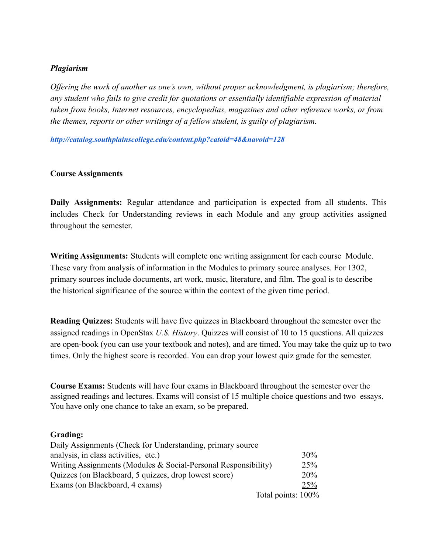#### *Plagiarism*

*Offering the work of another as one's own, without proper acknowledgment, is plagiarism; therefore, any student who fails to give credit for quotations or essentially identifiable expression of material taken from books, Internet resources, encyclopedias, magazines and other reference works, or from the themes, reports or other writings of a fellow student, is guilty of plagiarism.*

*http://catalog.southplainscollege.edu/content.php?catoid=48&navoid=128*

#### **Course Assignments**

**Daily Assignments:** Regular attendance and participation is expected from all students. This includes Check for Understanding reviews in each Module and any group activities assigned throughout the semester.

**Writing Assignments:** Students will complete one writing assignment for each course Module. These vary from analysis of information in the Modules to primary source analyses. For 1302, primary sources include documents, art work, music, literature, and film. The goal is to describe the historical significance of the source within the context of the given time period.

**Reading Quizzes:** Students will have five quizzes in Blackboard throughout the semester over the assigned readings in OpenStax *U.S. History*. Quizzes will consist of 10 to 15 questions. All quizzes are open-book (you can use your textbook and notes), and are timed. You may take the quiz up to two times. Only the highest score is recorded. You can drop your lowest quiz grade for the semester.

**Course Exams:** Students will have four exams in Blackboard throughout the semester over the assigned readings and lectures. Exams will consist of 15 multiple choice questions and two essays. You have only one chance to take an exam, so be prepared.

#### **Grading:**

| Daily Assignments (Check for Understanding, primary source)    |            |
|----------------------------------------------------------------|------------|
| analysis, in class activities, etc.)                           | 30%        |
| Writing Assignments (Modules & Social-Personal Responsibility) | 25%        |
| Quizzes (on Blackboard, 5 quizzes, drop lowest score)          | <b>20%</b> |
| Exams (on Blackboard, 4 exams)                                 | 25%        |
| Total points: 100%                                             |            |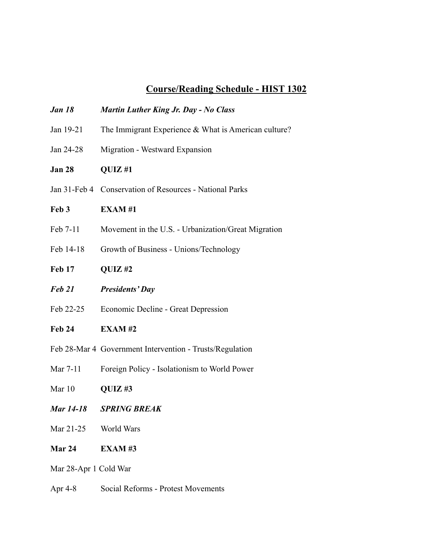# **Course/Reading Schedule - HIST 1302**

| <b>Jan 18</b>    | Martin Luther King Jr. Day - No Class                    |
|------------------|----------------------------------------------------------|
| Jan 19-21        | The Immigrant Experience $&$ What is American culture?   |
| Jan 24-28        | Migration - Westward Expansion                           |
| <b>Jan 28</b>    | QUIZ#1                                                   |
|                  | Jan 31-Feb 4 Conservation of Resources - National Parks  |
| Feb 3            | <b>EXAM#1</b>                                            |
| Feb 7-11         | Movement in the U.S. - Urbanization/Great Migration      |
| Feb 14-18        | Growth of Business - Unions/Technology                   |
| <b>Feb 17</b>    | QUIZ#2                                                   |
| Feb 21           | <b>Presidents' Day</b>                                   |
| Feb 22-25        | Economic Decline - Great Depression                      |
| <b>Feb 24</b>    | <b>EXAM#2</b>                                            |
|                  | Feb 28-Mar 4 Government Intervention - Trusts/Regulation |
| Mar 7-11         | Foreign Policy - Isolationism to World Power             |
| Mar 10           | QUIZ#3                                                   |
| <b>Mar 14-18</b> | <b>SPRING BREAK</b>                                      |
| Mar 21-25        | World Wars                                               |

**Mar 24 EXAM #3**

Mar 28-Apr 1 Cold War

Apr 4-8 Social Reforms - Protest Movements